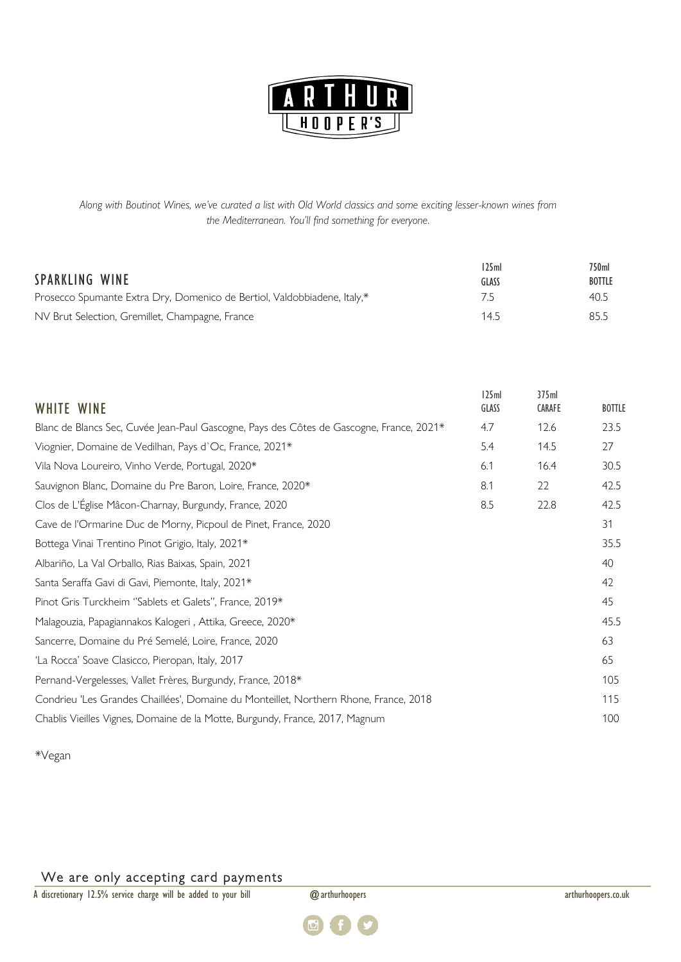

*Along with Boutinot Wines, we've curated a list with Old World classics and some exciting lesser-known wines from the Mediterranean. You'll find something for everyone.*

| SPARKLING WINE                                                           | 125ml<br>GLASS | 750ml<br><b>BOTTLE</b> |
|--------------------------------------------------------------------------|----------------|------------------------|
| Prosecco Spumante Extra Dry, Domenico de Bertiol, Valdobbiadene, Italy,* | 7.5            | 40.5                   |
| NV Brut Selection, Gremillet, Champagne, France                          | 14.5           | 85.5                   |

| WHITE WINE                                                                               | 125ml<br>GLASS | 375ml<br>CARAFE | <b>BOTTLE</b> |
|------------------------------------------------------------------------------------------|----------------|-----------------|---------------|
| Blanc de Blancs Sec, Cuvée Jean-Paul Gascogne, Pays des Côtes de Gascogne, France, 2021* | 4.7            | 12.6            | 23.5          |
| Viognier, Domaine de Vedilhan, Pays d'Oc, France, 2021*                                  | 5.4            | 14.5            | 27            |
| Vila Nova Loureiro, Vinho Verde, Portugal, 2020*                                         | 6.1            | 16.4            | 30.5          |
| Sauvignon Blanc, Domaine du Pre Baron, Loire, France, 2020*                              | 8.1            | 22              | 42.5          |
| Clos de L'Église Mâcon-Charnay, Burgundy, France, 2020                                   | 8.5            | 22.8            | 42.5          |
| Cave de l'Ormarine Duc de Morny, Picpoul de Pinet, France, 2020                          |                |                 | 31            |
| Bottega Vinai Trentino Pinot Grigio, Italy, 2021*                                        |                |                 | 35.5          |
| Albariño, La Val Orballo, Rias Baixas, Spain, 2021                                       |                |                 | 40            |
| Santa Seraffa Gavi di Gavi, Piemonte, Italy, 2021*                                       |                |                 | 42            |
| Pinot Gris Turckheim "Sablets et Galets", France, 2019*                                  |                |                 | 45            |
| Malagouzia, Papagiannakos Kalogeri, Attika, Greece, 2020*                                |                |                 | 45.5          |
| Sancerre, Domaine du Pré Semelé, Loire, France, 2020                                     |                |                 | 63            |
| 'La Rocca' Soave Clasicco, Pieropan, Italy, 2017                                         |                |                 | 65            |
| Pernand-Vergelesses, Vallet Frères, Burgundy, France, 2018*                              |                |                 | 105           |
| Condrieu 'Les Grandes Chaillées', Domaine du Monteillet, Northern Rhone, France, 2018    |                |                 | 115           |
| Chablis Vieilles Vignes, Domaine de la Motte, Burgundy, France, 2017, Magnum             |                |                 | 100           |

\*Vegan

## We are only accepting card payments

A discretionary 12.5% service charge will be added to your bill @arthurhoopers and arthurhoopers.co.uk